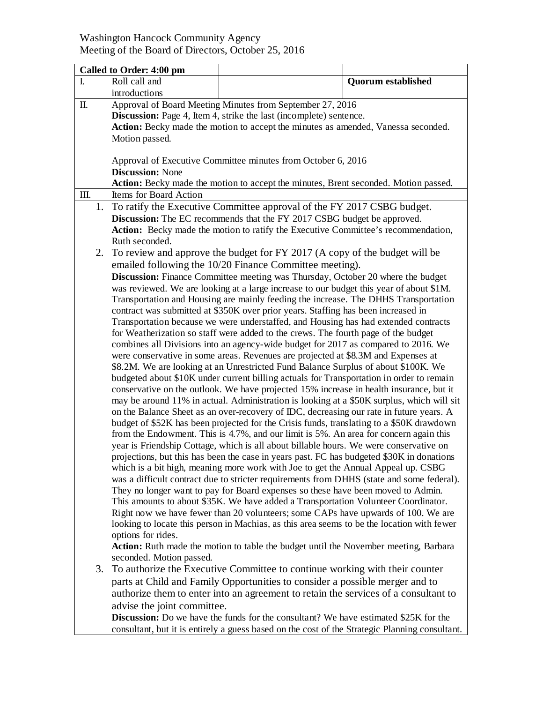## Washington Hancock Community Agency Meeting of the Board of Directors, October 25, 2016

|      | Called to Order: 4:00 pm                                                                                                                                                                                                                           |                                                                                                                                                                          |                           |  |
|------|----------------------------------------------------------------------------------------------------------------------------------------------------------------------------------------------------------------------------------------------------|--------------------------------------------------------------------------------------------------------------------------------------------------------------------------|---------------------------|--|
| I.   | Roll call and                                                                                                                                                                                                                                      |                                                                                                                                                                          | <b>Quorum established</b> |  |
|      | introductions                                                                                                                                                                                                                                      |                                                                                                                                                                          |                           |  |
| Π.   | Approval of Board Meeting Minutes from September 27, 2016                                                                                                                                                                                          |                                                                                                                                                                          |                           |  |
|      | Discussion: Page 4, Item 4, strike the last (incomplete) sentence.                                                                                                                                                                                 |                                                                                                                                                                          |                           |  |
|      | Action: Becky made the motion to accept the minutes as amended, Vanessa seconded.                                                                                                                                                                  |                                                                                                                                                                          |                           |  |
|      | Motion passed.                                                                                                                                                                                                                                     |                                                                                                                                                                          |                           |  |
|      |                                                                                                                                                                                                                                                    |                                                                                                                                                                          |                           |  |
|      | Approval of Executive Committee minutes from October 6, 2016                                                                                                                                                                                       |                                                                                                                                                                          |                           |  |
|      | <b>Discussion: None</b>                                                                                                                                                                                                                            |                                                                                                                                                                          |                           |  |
|      | Action: Becky made the motion to accept the minutes, Brent seconded. Motion passed.                                                                                                                                                                |                                                                                                                                                                          |                           |  |
| III. | Items for Board Action                                                                                                                                                                                                                             |                                                                                                                                                                          |                           |  |
| 1.   | To ratify the Executive Committee approval of the FY 2017 CSBG budget.                                                                                                                                                                             |                                                                                                                                                                          |                           |  |
|      | Discussion: The EC recommends that the FY 2017 CSBG budget be approved.                                                                                                                                                                            |                                                                                                                                                                          |                           |  |
|      | Action: Becky made the motion to ratify the Executive Committee's recommendation,                                                                                                                                                                  |                                                                                                                                                                          |                           |  |
|      | Ruth seconded.                                                                                                                                                                                                                                     |                                                                                                                                                                          |                           |  |
| 2.   | To review and approve the budget for FY 2017 (A copy of the budget will be                                                                                                                                                                         |                                                                                                                                                                          |                           |  |
|      |                                                                                                                                                                                                                                                    | emailed following the 10/20 Finance Committee meeting).                                                                                                                  |                           |  |
|      | <b>Discussion:</b> Finance Committee meeting was Thursday, October 20 where the budget<br>was reviewed. We are looking at a large increase to our budget this year of about \$1M.                                                                  |                                                                                                                                                                          |                           |  |
|      |                                                                                                                                                                                                                                                    |                                                                                                                                                                          |                           |  |
|      |                                                                                                                                                                                                                                                    | Transportation and Housing are mainly feeding the increase. The DHHS Transportation                                                                                      |                           |  |
|      |                                                                                                                                                                                                                                                    | contract was submitted at \$350K over prior years. Staffing has been increased in                                                                                        |                           |  |
|      |                                                                                                                                                                                                                                                    | Transportation because we were understaffed, and Housing has had extended contracts                                                                                      |                           |  |
|      |                                                                                                                                                                                                                                                    | for Weatherization so staff were added to the crews. The fourth page of the budget<br>combines all Divisions into an agency-wide budget for 2017 as compared to 2016. We |                           |  |
|      |                                                                                                                                                                                                                                                    | were conservative in some areas. Revenues are projected at \$8.3M and Expenses at                                                                                        |                           |  |
|      |                                                                                                                                                                                                                                                    | \$8.2M. We are looking at an Unrestricted Fund Balance Surplus of about \$100K. We                                                                                       |                           |  |
|      |                                                                                                                                                                                                                                                    | budgeted about \$10K under current billing actuals for Transportation in order to remain                                                                                 |                           |  |
|      |                                                                                                                                                                                                                                                    | conservative on the outlook. We have projected 15% increase in health insurance, but it                                                                                  |                           |  |
|      |                                                                                                                                                                                                                                                    | may be around 11% in actual. Administration is looking at a \$50K surplus, which will sit                                                                                |                           |  |
|      |                                                                                                                                                                                                                                                    | on the Balance Sheet as an over-recovery of IDC, decreasing our rate in future years. A                                                                                  |                           |  |
|      |                                                                                                                                                                                                                                                    | budget of \$52K has been projected for the Crisis funds, translating to a \$50K drawdown                                                                                 |                           |  |
|      |                                                                                                                                                                                                                                                    | from the Endowment. This is 4.7%, and our limit is 5%. An area for concern again this                                                                                    |                           |  |
|      |                                                                                                                                                                                                                                                    | year is Friendship Cottage, which is all about billable hours. We were conservative on                                                                                   |                           |  |
|      |                                                                                                                                                                                                                                                    | projections, but this has been the case in years past. FC has budgeted \$30K in donations                                                                                |                           |  |
|      |                                                                                                                                                                                                                                                    | which is a bit high, meaning more work with Joe to get the Annual Appeal up. CSBG                                                                                        |                           |  |
|      |                                                                                                                                                                                                                                                    | was a difficult contract due to stricter requirements from DHHS (state and some federal).                                                                                |                           |  |
|      |                                                                                                                                                                                                                                                    | They no longer want to pay for Board expenses so these have been moved to Admin.                                                                                         |                           |  |
|      |                                                                                                                                                                                                                                                    | This amounts to about \$35K. We have added a Transportation Volunteer Coordinator.                                                                                       |                           |  |
|      |                                                                                                                                                                                                                                                    | Right now we have fewer than 20 volunteers; some CAPs have upwards of 100. We are                                                                                        |                           |  |
|      |                                                                                                                                                                                                                                                    | looking to locate this person in Machias, as this area seems to be the location with fewer                                                                               |                           |  |
|      | options for rides.                                                                                                                                                                                                                                 |                                                                                                                                                                          |                           |  |
|      | Action: Ruth made the motion to table the budget until the November meeting, Barbara                                                                                                                                                               |                                                                                                                                                                          |                           |  |
|      | seconded. Motion passed.                                                                                                                                                                                                                           |                                                                                                                                                                          |                           |  |
| 3.   | To authorize the Executive Committee to continue working with their counter<br>parts at Child and Family Opportunities to consider a possible merger and to<br>authorize them to enter into an agreement to retain the services of a consultant to |                                                                                                                                                                          |                           |  |
|      |                                                                                                                                                                                                                                                    |                                                                                                                                                                          |                           |  |
|      |                                                                                                                                                                                                                                                    |                                                                                                                                                                          |                           |  |

advise the joint committee.

**Discussion:** Do we have the funds for the consultant? We have estimated \$25K for the consultant, but it is entirely a guess based on the cost of the Strategic Planning consultant.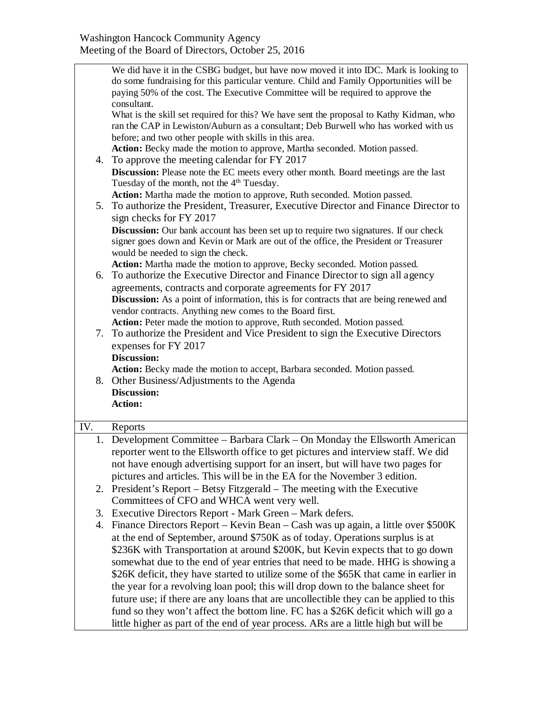|     | We did have it in the CSBG budget, but have now moved it into IDC. Mark is looking to                                                                       |  |  |
|-----|-------------------------------------------------------------------------------------------------------------------------------------------------------------|--|--|
|     | do some fundraising for this particular venture. Child and Family Opportunities will be                                                                     |  |  |
|     | paying 50% of the cost. The Executive Committee will be required to approve the<br>consultant.                                                              |  |  |
|     | What is the skill set required for this? We have sent the proposal to Kathy Kidman, who                                                                     |  |  |
|     | ran the CAP in Lewiston/Auburn as a consultant; Deb Burwell who has worked with us                                                                          |  |  |
|     | before; and two other people with skills in this area.                                                                                                      |  |  |
|     | Action: Becky made the motion to approve, Martha seconded. Motion passed.                                                                                   |  |  |
|     | 4. To approve the meeting calendar for FY 2017                                                                                                              |  |  |
|     | Discussion: Please note the EC meets every other month. Board meetings are the last                                                                         |  |  |
|     | Tuesday of the month, not the 4 <sup>th</sup> Tuesday.                                                                                                      |  |  |
|     | Action: Martha made the motion to approve, Ruth seconded. Motion passed.                                                                                    |  |  |
|     | 5. To authorize the President, Treasurer, Executive Director and Finance Director to                                                                        |  |  |
|     | sign checks for FY 2017                                                                                                                                     |  |  |
|     | <b>Discussion:</b> Our bank account has been set up to require two signatures. If our check                                                                 |  |  |
|     | signer goes down and Kevin or Mark are out of the office, the President or Treasurer                                                                        |  |  |
|     | would be needed to sign the check.                                                                                                                          |  |  |
|     | Action: Martha made the motion to approve, Becky seconded. Motion passed.<br>6. To authorize the Executive Director and Finance Director to sign all agency |  |  |
|     | agreements, contracts and corporate agreements for FY 2017                                                                                                  |  |  |
|     | Discussion: As a point of information, this is for contracts that are being renewed and                                                                     |  |  |
|     | vendor contracts. Anything new comes to the Board first.                                                                                                    |  |  |
|     | Action: Peter made the motion to approve, Ruth seconded. Motion passed.                                                                                     |  |  |
| 7.  | To authorize the President and Vice President to sign the Executive Directors                                                                               |  |  |
|     | expenses for FY 2017                                                                                                                                        |  |  |
|     | <b>Discussion:</b>                                                                                                                                          |  |  |
|     | Action: Becky made the motion to accept, Barbara seconded. Motion passed.                                                                                   |  |  |
|     | 8. Other Business/Adjustments to the Agenda                                                                                                                 |  |  |
|     | Discussion:                                                                                                                                                 |  |  |
|     | <b>Action:</b>                                                                                                                                              |  |  |
| IV. | Reports                                                                                                                                                     |  |  |
| 1.  | Development Committee - Barbara Clark - On Monday the Ellsworth American                                                                                    |  |  |
|     | reporter went to the Ellsworth office to get pictures and interview staff. We did                                                                           |  |  |
|     | not have enough advertising support for an insert, but will have two pages for                                                                              |  |  |
|     | pictures and articles. This will be in the EA for the November 3 edition.                                                                                   |  |  |
|     | 2. President's Report – Betsy Fitzgerald – The meeting with the Executive                                                                                   |  |  |
|     | Committees of CFO and WHCA went very well.                                                                                                                  |  |  |
| 3.  | Executive Directors Report - Mark Green - Mark defers.                                                                                                      |  |  |
| 4.  | Finance Directors Report – Kevin Bean – Cash was up again, a little over \$500K                                                                             |  |  |
|     | at the end of September, around \$750K as of today. Operations surplus is at                                                                                |  |  |
|     | \$236K with Transportation at around \$200K, but Kevin expects that to go down                                                                              |  |  |
|     | somewhat due to the end of year entries that need to be made. HHG is showing a                                                                              |  |  |
|     | \$26K deficit, they have started to utilize some of the \$65K that came in earlier in                                                                       |  |  |
|     | the year for a revolving loan pool; this will drop down to the balance sheet for                                                                            |  |  |
|     | future use; if there are any loans that are uncollectible they can be applied to this                                                                       |  |  |
|     | fund so they won't affect the bottom line. FC has a \$26K deficit which will go a                                                                           |  |  |
|     | little higher as part of the end of year process. ARs are a little high but will be                                                                         |  |  |